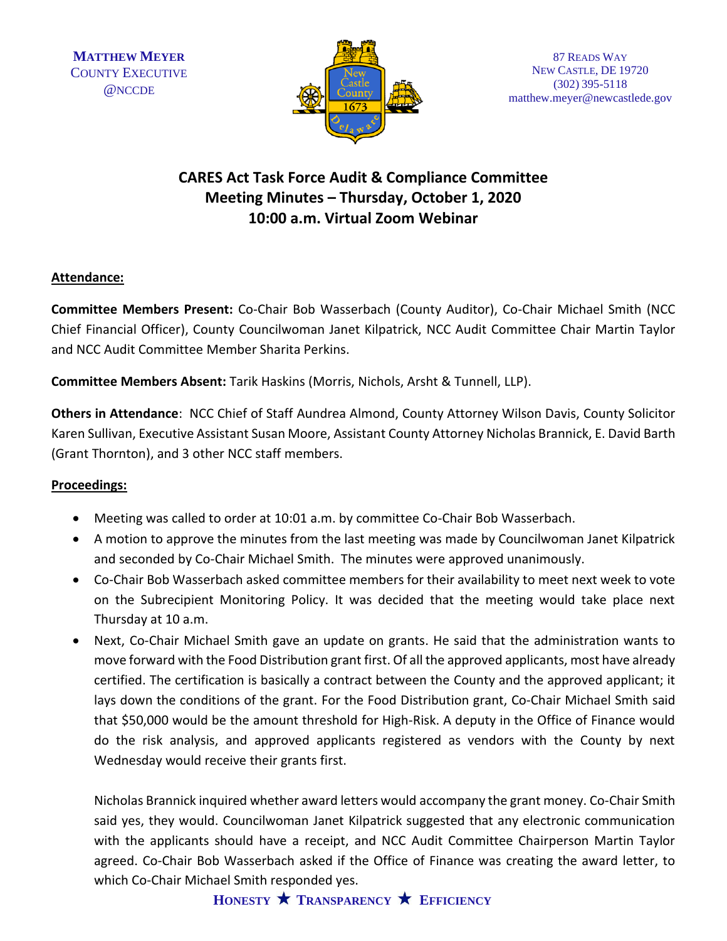

## **CARES Act Task Force Audit & Compliance Committee Meeting Minutes – Thursday, October 1, 2020 10:00 a.m. Virtual Zoom Webinar**

## **Attendance:**

**Committee Members Present:** Co-Chair Bob Wasserbach (County Auditor), Co-Chair Michael Smith (NCC Chief Financial Officer), County Councilwoman Janet Kilpatrick, NCC Audit Committee Chair Martin Taylor and NCC Audit Committee Member Sharita Perkins.

**Committee Members Absent:** Tarik Haskins (Morris, Nichols, Arsht & Tunnell, LLP).

**Others in Attendance**: NCC Chief of Staff Aundrea Almond, County Attorney Wilson Davis, County Solicitor Karen Sullivan, Executive Assistant Susan Moore, Assistant County Attorney Nicholas Brannick, E. David Barth (Grant Thornton), and 3 other NCC staff members.

## **Proceedings:**

- Meeting was called to order at 10:01 a.m. by committee Co-Chair Bob Wasserbach.
- A motion to approve the minutes from the last meeting was made by Councilwoman Janet Kilpatrick and seconded by Co-Chair Michael Smith. The minutes were approved unanimously.
- Co-Chair Bob Wasserbach asked committee members for their availability to meet next week to vote on the Subrecipient Monitoring Policy. It was decided that the meeting would take place next Thursday at 10 a.m.
- Next, Co-Chair Michael Smith gave an update on grants. He said that the administration wants to move forward with the Food Distribution grant first. Of all the approved applicants, most have already certified. The certification is basically a contract between the County and the approved applicant; it lays down the conditions of the grant. For the Food Distribution grant, Co-Chair Michael Smith said that \$50,000 would be the amount threshold for High-Risk. A deputy in the Office of Finance would do the risk analysis, and approved applicants registered as vendors with the County by next Wednesday would receive their grants first.

Nicholas Brannick inquired whether award letters would accompany the grant money. Co-Chair Smith said yes, they would. Councilwoman Janet Kilpatrick suggested that any electronic communication with the applicants should have a receipt, and NCC Audit Committee Chairperson Martin Taylor agreed. Co-Chair Bob Wasserbach asked if the Office of Finance was creating the award letter, to which Co-Chair Michael Smith responded yes.

**HONESTY TRANSPARENCY EFFICIENCY**